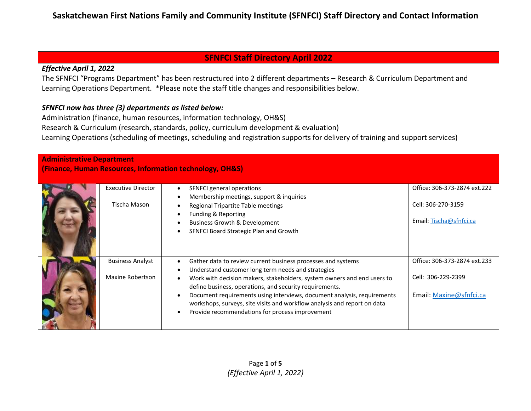### **SFNFCI Staff Directory April 2022**

### *Effective April 1, 2022*

The SFNFCI "Programs Department" has been restructured into 2 different departments – Research & Curriculum Department and Learning Operations Department. \*Please note the staff title changes and responsibilities below.

### *SFNFCI now has three (3) departments as listed below:*

Administration (finance, human resources, information technology, OH&S) Research & Curriculum (research, standards, policy, curriculum development & evaluation) Learning Operations (scheduling of meetings, scheduling and registration supports for delivery of training and support services)

#### **Administrative Department**

**(Finance, Human Resources, Information technology, OH&S)**

| <b>Executive Director</b><br>Tischa Mason   | SFNFCI general operations<br>Membership meetings, support & inquiries<br>Regional Tripartite Table meetings<br>Funding & Reporting<br><b>Business Growth &amp; Development</b><br>SFNFCI Board Strategic Plan and Growth                                                                                                                                                                                                                                           | Office: 306-373-2874 ext.222<br>Cell: 306-270-3159<br>Email: Tischa@sfnfci.ca |
|---------------------------------------------|--------------------------------------------------------------------------------------------------------------------------------------------------------------------------------------------------------------------------------------------------------------------------------------------------------------------------------------------------------------------------------------------------------------------------------------------------------------------|-------------------------------------------------------------------------------|
| <b>Business Analyst</b><br>Maxine Robertson | Gather data to review current business processes and systems<br>Understand customer long term needs and strategies<br>Work with decision makers, stakeholders, system owners and end users to<br>define business, operations, and security requirements.<br>Document requirements using interviews, document analysis, requirements<br>workshops, surveys, site visits and workflow analysis and report on data<br>Provide recommendations for process improvement | Office: 306-373-2874 ext.233<br>Cell: 306-229-2399<br>Email: Maxine@sfnfci.ca |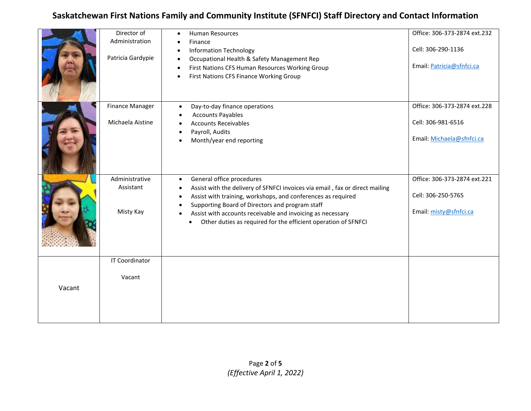|        | Director of<br>Administration | Human Resources<br>$\bullet$                                                                                                                                                                                     | Office: 306-373-2874 ext.232                       |
|--------|-------------------------------|------------------------------------------------------------------------------------------------------------------------------------------------------------------------------------------------------------------|----------------------------------------------------|
|        | Patricia Gardypie             | Finance<br><b>Information Technology</b>                                                                                                                                                                         | Cell: 306-290-1136                                 |
|        |                               | Occupational Health & Safety Management Rep<br>First Nations CFS Human Resources Working Group<br>First Nations CFS Finance Working Group                                                                        | Email: Patricia@sfnfci.ca                          |
|        |                               |                                                                                                                                                                                                                  |                                                    |
|        | <b>Finance Manager</b>        | Day-to-day finance operations<br>$\bullet$<br><b>Accounts Payables</b>                                                                                                                                           | Office: 306-373-2874 ext.228                       |
|        | Michaela Aistine              | <b>Accounts Receivables</b>                                                                                                                                                                                      | Cell: 306-981-6516                                 |
|        |                               | Payroll, Audits<br>Month/year end reporting                                                                                                                                                                      | Email: Michaela@sfnfci.ca                          |
|        |                               |                                                                                                                                                                                                                  |                                                    |
|        | Administrative<br>Assistant   | General office procedures<br>$\bullet$<br>Assist with the delivery of SFNFCI invoices via email, fax or direct mailing<br>$\bullet$<br>Assist with training, workshops, and conferences as required<br>$\bullet$ | Office: 306-373-2874 ext.221<br>Cell: 306-250-5765 |
|        | Misty Kay                     | Supporting Board of Directors and program staff<br>Assist with accounts receivable and invoicing as necessary<br>$\bullet$<br>Other duties as required for the efficient operation of SFNFCI<br>$\bullet$        | Email: misty@sfnfci.ca                             |
|        | <b>IT Coordinator</b>         |                                                                                                                                                                                                                  |                                                    |
|        |                               |                                                                                                                                                                                                                  |                                                    |
|        | Vacant                        |                                                                                                                                                                                                                  |                                                    |
| Vacant |                               |                                                                                                                                                                                                                  |                                                    |
|        |                               |                                                                                                                                                                                                                  |                                                    |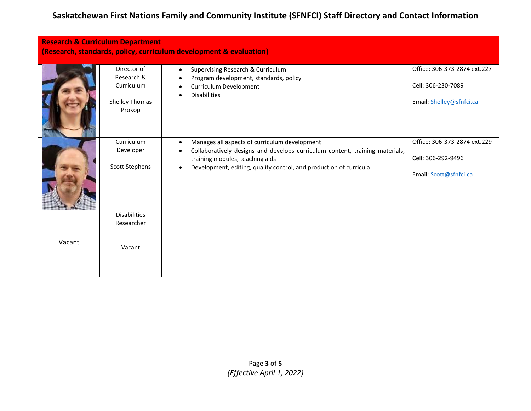| <b>Research &amp; Curriculum Department</b><br>(Research, standards, policy, curriculum development & evaluation) |                                                                     |                                                                                                                                                                                                                                                     |                                                                                |
|-------------------------------------------------------------------------------------------------------------------|---------------------------------------------------------------------|-----------------------------------------------------------------------------------------------------------------------------------------------------------------------------------------------------------------------------------------------------|--------------------------------------------------------------------------------|
|                                                                                                                   | Director of<br>Research &<br>Curriculum<br>Shelley Thomas<br>Prokop | Supervising Research & Curriculum<br>$\bullet$<br>Program development, standards, policy<br>Curriculum Development<br><b>Disabilities</b>                                                                                                           | Office: 306-373-2874 ext.227<br>Cell: 306-230-7089<br>Email: Shelley@sfnfci.ca |
|                                                                                                                   | Curriculum<br>Developer<br><b>Scott Stephens</b>                    | Manages all aspects of curriculum development<br>$\bullet$<br>Collaboratively designs and develops curriculum content, training materials,<br>training modules, teaching aids<br>Development, editing, quality control, and production of curricula | Office: 306-373-2874 ext.229<br>Cell: 306-292-9496<br>Email: Scott@sfnfci.ca   |
| Vacant                                                                                                            | <b>Disabilities</b><br>Researcher<br>Vacant                         |                                                                                                                                                                                                                                                     |                                                                                |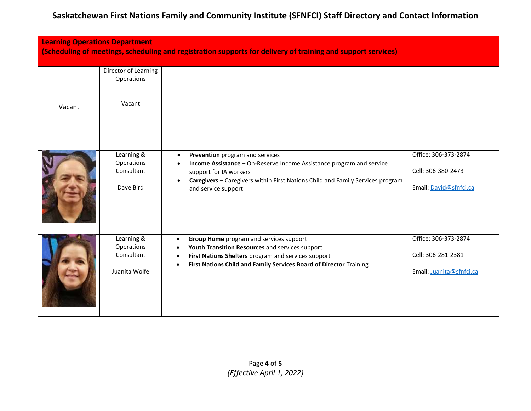| <b>Learning Operations Department</b><br>(Scheduling of meetings, scheduling and registration supports for delivery of training and support services) |                                                         |                                                                                                                                                                                                                                                                      |                                                                        |
|-------------------------------------------------------------------------------------------------------------------------------------------------------|---------------------------------------------------------|----------------------------------------------------------------------------------------------------------------------------------------------------------------------------------------------------------------------------------------------------------------------|------------------------------------------------------------------------|
| Vacant                                                                                                                                                | Director of Learning<br>Operations<br>Vacant            |                                                                                                                                                                                                                                                                      |                                                                        |
|                                                                                                                                                       | Learning &<br>Operations<br>Consultant<br>Dave Bird     | Prevention program and services<br>$\bullet$<br>Income Assistance - On-Reserve Income Assistance program and service<br>support for IA workers<br>Caregivers - Caregivers within First Nations Child and Family Services program<br>$\bullet$<br>and service support | Office: 306-373-2874<br>Cell: 306-380-2473<br>Email: David@sfnfci.ca   |
|                                                                                                                                                       | Learning &<br>Operations<br>Consultant<br>Juanita Wolfe | Group Home program and services support<br>$\bullet$<br>Youth Transition Resources and services support<br>First Nations Shelters program and services support<br>First Nations Child and Family Services Board of Director Training<br>$\bullet$                    | Office: 306-373-2874<br>Cell: 306-281-2381<br>Email: Juanita@sfnfci.ca |